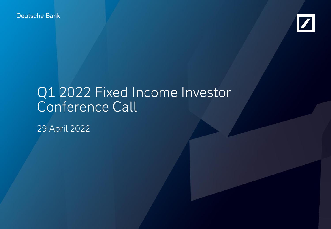Deutsche Bank



# Q1 2022 Fixed Income Investor Conference Call

29 April 2022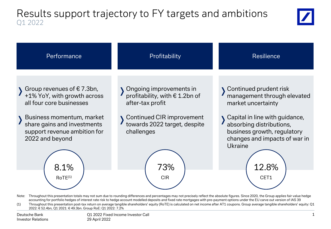## Results support trajectory to FY targets and ambitions Q1 2022





Note: Throughout this presentation totals may not sum due to rounding differences and percentages may not precisely reflect the absolute figures. Since 2020, the Group applies fair value hedge accounting for portfolio hedges of interest rate risk to hedge account modelled deposits and fixed rate mortgages with pre-payment options under the EU carve out version of IAS 39

(1) Throughout this presentation post-tax return on average tangible shareholders' equity (RoTE) is calculated on net income after AT1 coupons. Group average tangible shareholders' equity: Q1 2022: € 52.4bn, Q1 2021: € 49.3bn. Group RoE: Q1 2022: 7.2%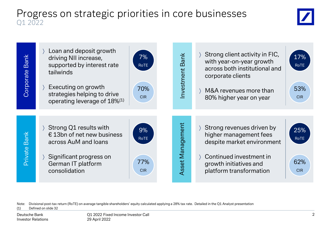### Progress on strategic priorities in core businesses Q1 2022





Note: Divisional post-tax return (RoTE) on average tangible shareholders' equity calculated applying a 28% tax rate. Detailed in the Q1 Analyst presentation (1) Defined on slide 32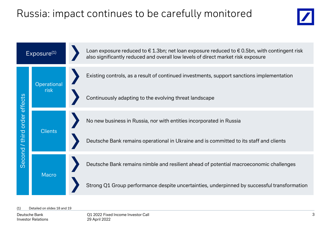## Russia: impact continues to be carefully monitored





#### Detailed on slides 18 and 19

Deutsche Bank Investor Relations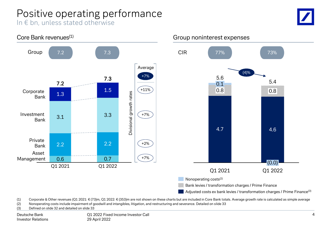## Positive operating performance

In € bn, unless stated otherwise





(1) Corporate & Other revenues (Q1 2021:  $\epsilon$  (73)m, Q1 2022:  $\epsilon$  (353)m are not shown on these charts but are included in Core Bank totals. Average growth rate is calculated as simple average

(2) Nonoperating costs include impairment of goodwill and intangibles, litigation, and restructuring and severance. Detailed on slide 33

(3) Defined on slide 32 and detailed on slide 33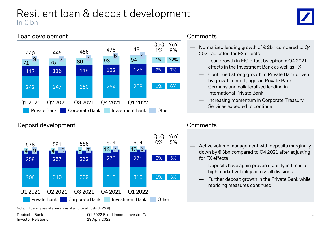## Resilient loan & deposit development In € bn



### Loan development



### Deposit development



Note: Loans gross of allowances at amortized costs (IFRS 9)

### **Comments**

- Normalized lending growth of  $\epsilon$  2bn compared to Q4 2021 adjusted for FX effects
	- Loan growth in FIC offset by episodic Q4 2021 effects in the Investment Bank as well as FX
	- Continued strong growth in Private Bank driven by growth in mortgages in Private Bank Germany and collateralized lending in International Private Bank
	- Increasing momentum in Corporate Treasury Services expected to continue

### **Comments**

- Active volume management with deposits marginally down by € 3bn compared to Q4 2021 after adjusting for FX effects
	- Deposits have again proven stability in times of high market volatility across all divisions
	- Further deposit growth in the Private Bank while repricing measures continued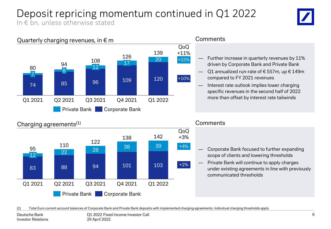### Deposit repricing momentum continued in Q1 2022 In  $\epsilon$  bn, unless otherwise stated





### Charging agreements<sup>(1)</sup>



#### **Comments**

- Corporate Bank focused to further expanding scope of clients and lowering thresholds
- Private Bank will continue to apply charges under existing agreements in line with previously communicated thresholds

(1) Total Euro current account balances of Corporate Bank and Private Bank deposits with implemented charging agreements. Individual charging thresholds apply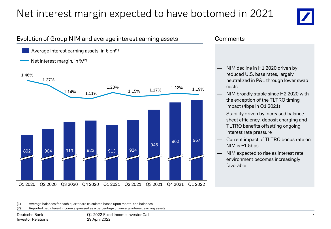## Net interest margin expected to have bottomed in 2021



### Evolution of Group NIM and average interest earning assets

Average interest earning assets, in  $\epsilon$  bn<sup>(1)</sup>



#### **Comments**

- NIM decline in H1 2020 driven by reduced U.S. base rates, largely neutralized in P&L through lower swap costs
- NIM broadly stable since H2 2020 with the exception of the TLTRO timing impact (4bps in Q1 2021)
- Stability driven by increased balance sheet efficiency, deposit charging and TLTRO benefits offsetting ongoing interest rate pressure
- Current impact of TLTRO bonus rate on NIM is  $~1.5$ bps
- NIM expected to rise as interest rate environment becomes increasingly favorable

(1) Average balances for each quarter are calculated based upon month-end balances

(2) Reported net interest income expressed as a percentage of average interest earning assets

Deutsche Bank Investor Relations Q1 2022 Fixed Income Investor Call 29 April 2022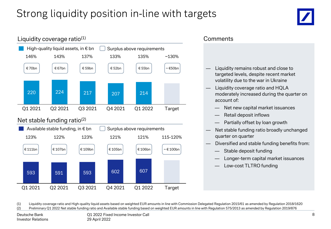## Strong liquidity position in-line with targets





### **Comments**

- Liquidity remains robust and close to targeted levels, despite recent market volatility due to the war in Ukraine
- Liquidity coverage ratio and HQLA moderately increased during the quarter on account of:
	- Net new capital market issuances
	- Retail deposit inflows
	- Partially offset by loan growth
- Net stable funding ratio broadly unchanged quarter on quarter
- Diversified and stable funding benefits from:
	- Stable deposit funding
	- Longer-term capital market issuances
	- Low-cost TLTRO funding

(1) Liquidity coverage ratio and High-quality liquid assets based on weighted EUR amounts in line with Commission Delegated Regulation 2015/61 as amended by Regulation 2018/1620 (2) Preliminary Q1 2022 Net stable funding ratio and Available stable funding based on weighted EUR amounts in line with Regulation 575/2013 as amended by Regulation 2019/876

Deutsche Bank Investor Relations

Q1 2022 Fixed Income Investor Call 29 April 2022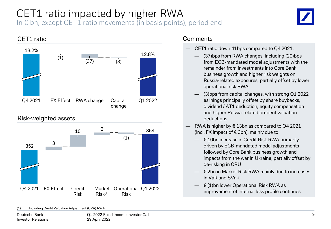### CET1 ratio impacted by higher RWA In  $\epsilon$  bn, except CET1 ratio movements (in basis points), period end





- CET1 ratio down 41bps compared to Q4 2021:
	- (37)bps from RWA changes, including (20)bps from ECB-mandated model adjustments with the remainder from investments into Core Bank business growth and higher risk weights on Russia-related exposures, partially offset by lower operational risk RWA
	- (3)bps from capital changes, with strong Q1 2022 earnings principally offset by share buybacks, dividend / AT1 deduction, equity compensation and higher Russia-related prudent valuation deductions
- RWA is higher by  $\epsilon$  13bn as compared to Q4 2021 (incl. FX impact of € 3bn), mainly due to
	- $\equiv$   $\in$  10bn increase in Credit Risk RWA primarily driven by ECB-mandated model adjustments followed by Core Bank business growth and impacts from the war in Ukraine, partially offset by de-risking in CRU
	- € 2bn in Market Risk RWA mainly due to increases in VaR and SVaR
	- $\in$  (1)bn lower Operational Risk RWA as improvement of internal loss profile continues

(1) Including Credit Valuation Adjustment (CVA) RWA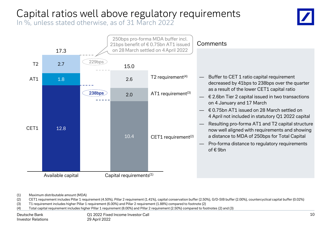## Capital ratios well above regulatory requirements

In %, unless stated otherwise, as of 31 March 2022



(1) Maximum distributable amount (MDA)

(2) CET1 requirement includes Pillar 1 requirement (4.50%), Pillar 2 requirement (1.41%), capital conservation buffer (2.50%), G/D-SIB buffer (2.00%), countercyclical capital buffer (0.02%)

(3) T1 requirement includes higher Pillar 1 requirement (6.00%) and Pillar 2 requirement (1.88%) compared to footnote (2)

(4) Total capital requirement includes higher Pillar 1 requirement (8.00%) and Pillar 2 requirement (2.50%) compared to footnotes (2) and (3)

Deutsche Bank Investor Relations Q1 2022 Fixed Income Investor Call 29 April 2022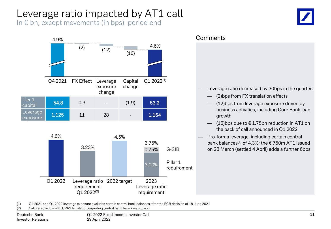## Leverage ratio impacted by AT1 call

In € bn, except movements (in bps), period end





(1) Q4 2021 and Q1 2022 leverage exposure excludes certain central bank balances after the ECB decision of 18 June 2021

(2) Calibrated in line with CRR2 legislation regarding central bank balance exclusion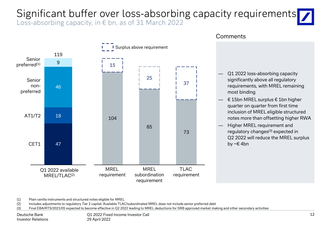# Significant buffer over loss-absorbing capacity requirements

Loss-absorbing capacity, in € bn, as of 31 March 2022



#### **Comments**

- Q1 2022 loss-absorbing capacity significantly above all regulatory requirements, with MREL remaining most binding
- $\equiv$  € 15bn MREL surplus € 1bn higher quarter on quarter from first time inclusion of MREL eligible structured notes more than offsetting higher RWA
- Higher MREL requirement and regulatory changes<sup>(3)</sup> expected in Q2 2022 will reduce the MREL surplus by ~€ 4bn

(1) Plain vanilla instruments and structured notes eligible for MREL

(2) Includes adjustments to regulatory Tier 2 capital. Available TLAC/subordinated MREL does not include senior preferred debt

(3) Final EBA/RTS/2021/05 expected to become effective in Q2 2022 leading to MREL deductions for SRB approved market making and other secondary activities

Deutsche Bank Investor Relations Q1 2022 Fixed Income Investor Call 29 April 2022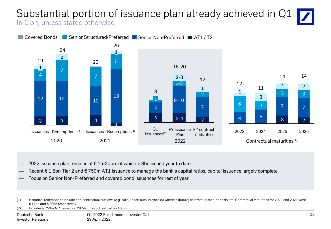### Substantial portion of issuance plan already achieved in Q1 In € bn, unless stated otherwise



- 2022 issuance plan remains at € 15-20bn, of which  $€$  8bn issued year to date
- Recent € 1.5bn Tier 2 and € 750m AT1 issuance to manage the bank's capital ratios, capital issuance largely complete
- Focus on Senior Non-Preferred and covered bond issuances for rest of year

(2) Includes € 750m AT1 issued on 28 March which settled on 4 April

<sup>(1)</sup> Historical redemptions include non-contractual outflows (e.g. calls, knock-outs, buybacks) whereas (future) contractual maturities do not. Contractual maturities for 2020 and 2021 were € 17bn and € 20bn respectively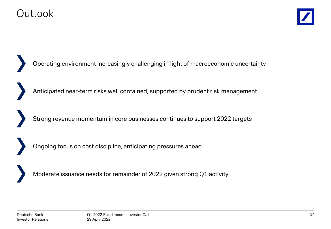

Moderate issuance needs for remainder of 2022 given strong Q1 activity Operating environment increasingly challenging in light of macroeconomic uncertainty Ongoing focus on cost discipline, anticipating pressures ahead Strong revenue momentum in core businesses continues to support 2022 targets Anticipated near-term risks well contained, supported by prudent risk management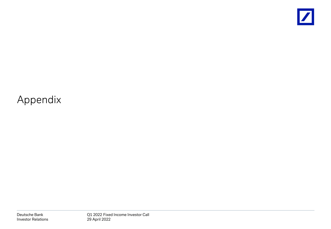

## Appendix

Deutsche Bank Investor Relations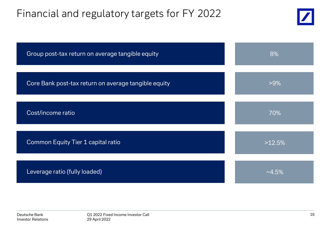## Financial and regulatory targets for FY 2022



| Group post-tax return on average tangible equity     | 8%        |
|------------------------------------------------------|-----------|
| Core Bank post-tax return on average tangible equity | $>9\%$    |
| Cost/income ratio                                    | 70%       |
| Common Equity Tier 1 capital ratio                   | >12.5%    |
| Leverage ratio (fully loaded)                        | $~14.5\%$ |

Deutsche Bank Investor Relations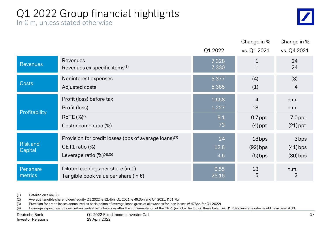## Q1 2022 Group financial highlights

 $\sqrt{\frac{1}{2}}$ 

| In $\epsilon$ m, unless stated otherwise |  |
|------------------------------------------|--|
|------------------------------------------|--|

|                            |                                                                                                                        | Q1 2022           | Change in %<br>vs. Q1 2021       | Change in %<br>vs. Q4 2021                   |
|----------------------------|------------------------------------------------------------------------------------------------------------------------|-------------------|----------------------------------|----------------------------------------------|
| <b>Revenues</b>            | <b>Revenues</b>                                                                                                        | 7,328             | $\mathbf{1}$                     | 24                                           |
|                            | Revenues ex specific items <sup>(1)</sup>                                                                              | 7,330             | $\mathbf{1}$                     | 24                                           |
| <b>Costs</b>               | Noninterest expenses                                                                                                   | 5,377             | (4)                              | (3)                                          |
|                            | Adjusted costs                                                                                                         | 5,385             | (1)                              | $\overline{4}$                               |
| Profitability              | Profit (loss) before tax                                                                                               | 1,658             | 4                                | n.m.                                         |
|                            | Profit (loss)                                                                                                          | 1,227             | 18                               | n.m.                                         |
|                            | RoTE (%) <sup>(2)</sup>                                                                                                | 8.1               | $0.7$ ppt                        | 7.0ppt                                       |
|                            | Cost/income ratio (%)                                                                                                  | 73                | $(4)$ ppt                        | $(21)$ ppt                                   |
| <b>Risk and</b><br>Capital | Provision for credit losses (bps of average loans) <sup>(3)</sup><br>CET1 ratio (%)<br>Leverage ratio $(\%)^{(4),(5)}$ | 24<br>12.8<br>4.6 | 18bps<br>$(92)$ bps<br>$(5)$ bps | 3 <sub>bps</sub><br>$(41)$ bps<br>$(30)$ bps |
| Per share                  | Diluted earnings per share (in $\epsilon$ )                                                                            | 0.55              | 18                               | n.m.                                         |
| metrics                    | Tangible book value per share (in $\epsilon$ )                                                                         | 25.15             | 5                                | $\overline{2}$                               |

(1) Detailed on slide 33

(2) Average tangible shareholders' equity Q1 2022: € 52.4bn, Q1 2021: € 49.3bn and Q4 2021: € 51.7bn

(3) Provision for credit losses annualized as basis points of average loans gross of allowances for loan losses (€ 478bn for Q1 2022)

(4) Leverage exposure excludes certain central bank balances after the implementation of the CRR Quick Fix. Including these balances Q1 2022 leverage ratio would have been 4.3%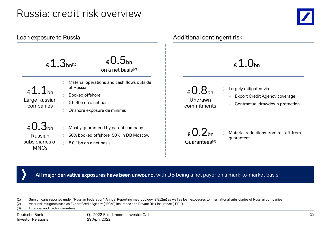## Russia: credit risk overview



| Loan exposure to Russia                                                   |                                                                                                                                     | Additional contingent risk                                                                                                                             |  |  |  |  |  |  |  |  |
|---------------------------------------------------------------------------|-------------------------------------------------------------------------------------------------------------------------------------|--------------------------------------------------------------------------------------------------------------------------------------------------------|--|--|--|--|--|--|--|--|
| $\epsilon$ 1.3 <sub>bn(1)</sub>                                           | $_{\epsilon}$ 0.5 <sub>bn</sub><br>on a net basis <sup>(2)</sup>                                                                    | $_{\epsilon}$ 1.0 <sub>bn</sub>                                                                                                                        |  |  |  |  |  |  |  |  |
| $\epsilon$ 1.1bn<br>Large Russian<br>companies                            | Material operations and cash flows outside<br>of Russia<br>Booked offshore<br>€ 0.4bn on a net basis<br>Onshore exposure de minimis | Largely mitigated via<br>$_{\epsilon}$ 0.8 <sub>bn</sub><br>Export Credit Agency coverage<br>Undrawn<br>Contractual drawdown protection<br>commitments |  |  |  |  |  |  |  |  |
| $_{\rm 6}$ 0.3 <sub>bn</sub><br>Russian<br>subsidiaries of<br><b>MNCs</b> | Mostly guaranteed by parent company<br>50% booked offshore, 50% in DB Moscow<br>€ 0.1bn on a net basis                              | $_{\epsilon}$ 0.2 <sub>bn</sub><br>Material reductions from roll-off from<br>guarantees<br>Guarantees <sup>(3)</sup>                                   |  |  |  |  |  |  |  |  |

All major derivative exposures have been unwound, with DB being a net payer on a mark-to-market basis

(1) Sum of loans reported under "Russian Federation" Annual Reporting methodology (€ 812m) as well as loan exposures to international subsidiaries of Russian companies

(2) After risk mitigants such as Export Credit Agency ("ECA") insurance and Private Risk Insurance ("PRI")

(3) Financial and trade guarantees

Deutsche Bank Investor Relations Q1 2022 Fixed Income Investor Call 29 April 2022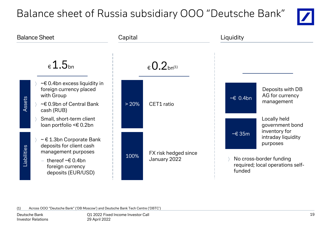## Balance sheet of Russia subsidiary OOO "Deutsche Bank"





(1) Across OOO "Deutsche Bank" ('DB Moscow') and Deutsche Bank Tech Centre ('DBTC')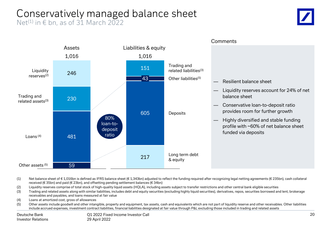## Conservatively managed balance sheet

Net<sup>(1)</sup> in  $\epsilon$  bn, as of 31 March 2022





(1) Net balance sheet of € 1,016bn is defined as IFRS balance sheet (€ 1,343bn) adjusted to reflect the funding required after recognizing legal netting agreements (€ 235bn), cash collateral received (€ 35bn) and paid (€ 23bn), and offsetting pending settlement balances (€ 34bn)

(2) Liquidity reserves comprise of total stock of high-quality liquid assets (HQLA), including assets subject to transfer restrictions and other central bank eligible securities

- (3) Trading and related assets along with similar liabilities, includes debt and equity securities (excluding highly liquid securities), derivatives, repos, securities borrowed and lent, brokerage receivables and payables, and loans measured at fair value
- (4) Loans at amortized cost, gross of allowances
- (5) Other assets include goodwill and other intangible, property and equipment, tax assets, cash and equivalents which are not part of liquidity reserve and other receivables. Other liabilities include accrued expenses, investment contract liabilities, financial liabilities designated at fair value through P&L excluding those included in trading and related assets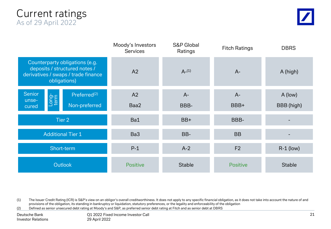### Current ratings As of 29 April 2022

|                                                                                                                        | Moody's Investors<br><b>Services</b> | <b>S&amp;P</b> Global<br>Ratings | <b>Fitch Ratings</b> | <b>DBRS</b>   |
|------------------------------------------------------------------------------------------------------------------------|--------------------------------------|----------------------------------|----------------------|---------------|
| Counterparty obligations (e.g.<br>deposits / structured notes /<br>derivatives / swaps / trade finance<br>obligations) | A2                                   | $A-(1)$                          | $A -$                | A (high)      |
| <b>Senior</b><br>Preferred <sup>(2)</sup><br>Long-<br>term<br>unse-                                                    | A2                                   | $A -$                            | $A -$                | A (low)       |
| Non-preferred<br>cured                                                                                                 | Baa2                                 | BBB-                             | BBB+                 | BBB (high)    |
| Tier 2                                                                                                                 | Ba1                                  | BB+                              | BBB-                 |               |
| <b>Additional Tier 1</b>                                                                                               | Ba3                                  | BB-                              | <b>BB</b>            |               |
| Short-term                                                                                                             | $P-1$                                | $A-2$                            | F <sub>2</sub>       | $R-1$ (low)   |
| <b>Outlook</b>                                                                                                         | <b>Positive</b>                      | <b>Stable</b>                    | <b>Positive</b>      | <b>Stable</b> |

(1) The Issuer Credit Rating (ICR) is S&P's view on an obligor's overall creditworthiness. It does not apply to any specific financial obligation, as it does not take into account the nature of and provisions of the obligation, its standing in bankruptcy or liquidation, statutory preferences, or the legality and enforceability of the obligation

(2) Defined as senior unsecured debt rating at Moody's and S&P, as preferred senior debt rating at Fitch and as senior debt at DBRS

Deutsche Bank Investor Relations Q1 2022 Fixed Income Investor Call 29 April 2022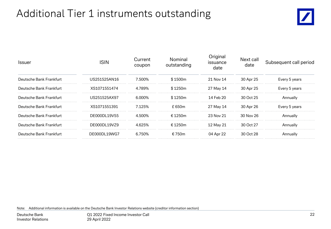## Additional Tier 1 instruments outstanding



| <b>Issuer</b>           | ISIN         | Current<br>coupon | Nominal<br>outstanding | Original<br>issuance<br>date | Next call<br>date | Subsequent call period |  |  |  |
|-------------------------|--------------|-------------------|------------------------|------------------------------|-------------------|------------------------|--|--|--|
| Deutsche Bank Frankfurt | US251525AN16 | 7.500%            | \$1500m                | 21 Nov 14                    | 30 Apr 25         | Every 5 years          |  |  |  |
| Deutsche Bank Frankfurt | XS1071551474 | 4.789%            | \$1250m                | 27 May 14                    | 30 Apr 25         | Every 5 years          |  |  |  |
| Deutsche Bank Frankfurt | US251525AX97 | 6.000%            | \$1250m                | 14 Feb 20                    | 30 Oct 25         | Annuallv               |  |  |  |
| Deutsche Bank Frankfurt | XS1071551391 | 7.125%            | ቶ 650m                 | 27 May 14                    | 30 Apr 26         | Every 5 years          |  |  |  |
| Deutsche Bank Frankfurt | DE000DL19V55 | 4.500%            | £1250m                 | 23 Nov 21                    | 30 Nov 26         | Annuallv               |  |  |  |
| Deutsche Bank Frankfurt | DE000DL19VZ9 | 4625%             | £1250m                 | 12 May 21                    | 30 Oct 27         | Annuallv               |  |  |  |
| Deutsche Bank Frankfurt | DE000DL19WG7 | 6 750%            | € 750 $m$              | 04 Apr 22                    | 30 Oct 28         | Annually               |  |  |  |
|                         |              |                   |                        |                              |                   |                        |  |  |  |

Note: Additional information is available on the Deutsche Bank Investor Relations website (creditor information section)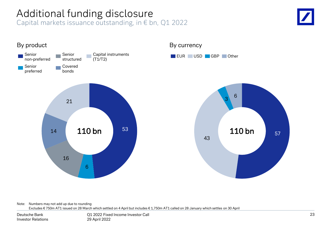## Additional funding disclosure

Capital markets issuance outstanding, in € bn, Q1 2022





Note: Numbers may not add up due to rounding Excludes € 750m AT1 issued on 28 March which settled on 4 April but includes € 1,750m AT1 called on 28 January which settles on 30 April

Deutsche Bank Investor Relations

Q1 2022 Fixed Income Investor Call 29 April 2022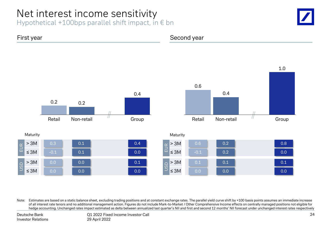## Net interest income sensitivity

Hypothetical +100bps parallel shift impact, in  $\epsilon$  bn





Note: Estimates are based on a static balance sheet, excluding trading positions and at constant exchange rates. The parallel yield curve shift by +100 basis points assumes an immediate increase of all interest rate tenors and no additional management action. Figures do not include Mark-to-Market / Other Comprehensive Income effects on centrally managed positions not eligible for hedge accounting. Unchanged rates impact estimated as delta between annualized last quarter's NII and first and second 12 months' NII forecast under unchanged interest rates respectively

Deutsche Bank Investor Relations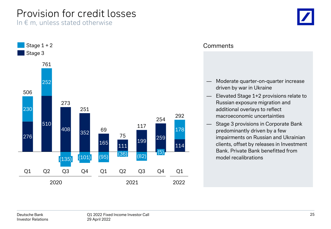## Provision for credit losses

In  $\epsilon$  m, unless stated otherwise



### **Comments**

- Moderate quarter-on-quarter increase driven by war in Ukraine
- Elevated Stage 1+2 provisions relate to Russian exposure migration and additional overlays to reflect macroeconomic uncertainties
- Stage 3 provisions in Corporate Bank predominantly driven by a few impairments on Russian and Ukrainian clients, offset by releases in Investment Bank. Private Bank benefitted from model recalibrations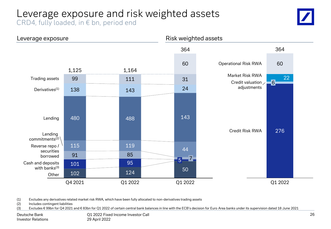## Leverage exposure and risk weighted assets

CRD4, fully loaded, in € bn, period end





(1) Excludes any derivatives related market risk RWA, which have been fully allocated to non-derivatives trading assets

(2) Includes contingent liabilities

(3) Excludes € 99bn for Q4 2021 and € 83bn for Q1 2022 of certain central bank balances in line with the ECB's decision for Euro Area banks under its supervision dated 18 June 2021

Deutsche Bank Investor Relations Q1 2022 Fixed Income Investor Call 29 April 2022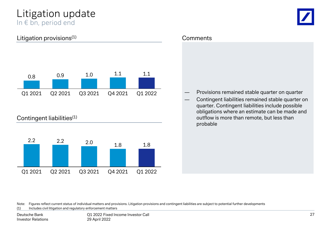### Litigation update In € bn, period end

### Litigation provisions<sup>(1)</sup>



### Contingent liabilities<sup>(1)</sup>



#### **Comments**

- ― Provisions remained stable quarter on quarter
- Contingent liabilities remained stable quarter on quarter. Contingent liabilities include possible obligations where an estimate can be made and outflow is more than remote, but less than probable

Note: Figures reflect current status of individual matters and provisions. Litigation provisions and contingent liabilities are subject to potential further developments

(1) Includes civil litigation and regulatory enforcement matters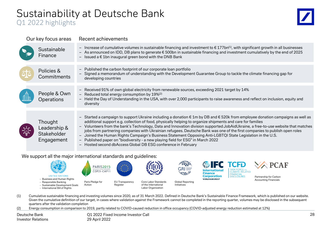## Sustainability at Deutsche Bank

### Q1 2022 highlights



| Our key focus areas                                  | Recent achievements                                                                                                                                                                                                                                                                                                                                                                                                                                                                                                                                                                                                                                                                                                                                                                                                                |
|------------------------------------------------------|------------------------------------------------------------------------------------------------------------------------------------------------------------------------------------------------------------------------------------------------------------------------------------------------------------------------------------------------------------------------------------------------------------------------------------------------------------------------------------------------------------------------------------------------------------------------------------------------------------------------------------------------------------------------------------------------------------------------------------------------------------------------------------------------------------------------------------|
| Sustainable<br>Finance                               | - Increase of cumulative volumes in sustainable financing and investment to $\epsilon$ 177bn <sup>(1)</sup> , with significant growth in all businesses<br>- As announced on IDD, DB plans to generate € 500bn in sustainable financing and investment cumulatively by the end of 2025<br>- Issued a $\epsilon$ 1bn inaugural green bond with the DNB Bank                                                                                                                                                                                                                                                                                                                                                                                                                                                                         |
| Policies &<br>Commitments                            | - Published the carbon footprint of our corporate loan portfolio<br>- Signed a memorandum of understanding with the Development Guarantee Group to tackle the climate financing gap for<br>developing countries                                                                                                                                                                                                                                                                                                                                                                                                                                                                                                                                                                                                                    |
| People & Own<br>Operations                           | - Received 91% of own global electricity from renewable sources, exceeding 2021 target by 14%<br>- Reduced total energy consumption by $19\%^{(2)}$<br>- Held the Day of Understanding in the USA, with over 2,000 participants to raise awareness and reflect on inclusion, equity and<br>diversity                                                                                                                                                                                                                                                                                                                                                                                                                                                                                                                               |
| Thought<br>Leadership &<br>Stakeholder<br>Engagement | - Started a campaign to support Ukraine including a donation $\epsilon$ 1m by DB and $\epsilon$ 520k from employee donation campaigns as well as<br>additional support e.g. collection of food, physically helping to organize shipments and care for families<br>Volunteers from the bank's Technology, Data and Innovation division supported JobAidUkraine, a free-to-use website that matches<br>$-$<br>jobs from partnering companies with Ukrainian refugees. Deutsche Bank was one of the first companies to publish open roles<br>Joined the Human Rights Campaign's Business Statement Opposing Anti-LGBTQI State Legislation in the U.S.<br>$\overline{\phantom{a}}$<br>- Published paper on "biodiversity - a new playing field for ESG" in March 2022<br>- Hosted second dbAccess Global DB ESG conference in February |

#### We support all the major international standards and guidelines:



- (1) Cumulative sustainable financing and investing volumes since 2020, as of 31 March 2022. Defined in Deutsche Bank's Sustainable Finance Framework, which is published on our website. Given the cumulative definition of our target, in cases where validation against the Framework cannot be completed in the reporting quarter, volumes may be disclosed in the subsequent quarters after the validation completion
- (2) Energy consumption in comparison to 2019, partly related to COVID-caused reduction in office occupancy (COVID-adjusted energy reduction estimated at 12%)

Deutsche Bank Investor Relations Q1 2022 Fixed Income Investor Call 29 April 2022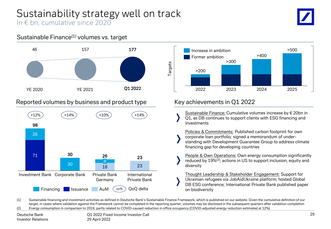### Sustainability strategy well on track In € bn, cumulative since 2020

### Sustainable Finance(1) volumes vs. target



### Reported volumes by business and product type





### Key achievements in Q1 2022

- Sustainable Finance: Cumulative volumes increase by € 20bn in Q1, as DB continues to support clients with ESG financing and investments
- Policies & Commitments: Published carbon footprint for own corporate loan portfolio; signed a memorandum of understanding with Development Guarantee Group to address climate financing gap for developing countries
- People & Own Operations: Own energy consumption significantly reduced by 19%(2); actions in US to support inclusion, equity and diversity

Thought Leadership & Stakeholder Engagement: Support for Ukrainian refugees via JobAidUkraine platform; hosted Global DB ESG conference; International Private Bank published paper on biodiversity

(1) Sustainable financing and investment activities as defined in Deutsche Bank's Sustainable Finance Framework, which is published on our website. Given the cumulative definition of our target, in cases where validation against the Framework cannot be completed in the reporting quarter, volumes may be disclosed in the subsequent quarters after validation completion (2) Energy consumption in comparison to 2019, partly related to COVID-caused reduction in office occupancy (COVID-adjusted energy reduction estimated at 12%)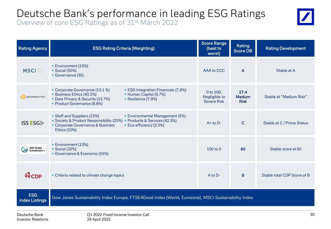## Deutsche Bank's performance in leading ESG Ratings

Overview of core ESG Ratings as of 31<sup>st</sup> March 2022



| <b>Rating Agency</b>                | <b>ESG Rating Criteria (Weighting)</b>                                                                                                                                                                                   | <b>Score Range</b><br>(best to<br>worst)         | Rating<br><b>Score DB</b>            | <b>Rating Development</b>   |
|-------------------------------------|--------------------------------------------------------------------------------------------------------------------------------------------------------------------------------------------------------------------------|--------------------------------------------------|--------------------------------------|-----------------------------|
| <b>MSCI</b>                         | • Environment (15%)<br>• Social (50%)<br>Governance (35)                                                                                                                                                                 | AAA to CCC                                       | A                                    | Stable at A                 |
| <b>SUSTAINALYTICS</b>               | • Corporate Governance (13.1 %)<br>• ESG Integration-Financials (7.8%)<br>• Business Ethics (40.1%)<br>• Human Capital (6.7%)<br>• Data Privacy & Security (15.7%)<br>Resilience (7.9%)<br>• Product Governance (8.8%)   | 0 to 100;<br>Negligible to<br><b>Severe Risk</b> | 27.4<br><b>Medium</b><br><b>Risk</b> | Stable at "Medium Risk"     |
| <b>ISS ESG</b>                      | • Staff and Suppliers (15%)<br>• Environmental Management (5%)<br>• Society & Product Responsibility (25%) • Products & Services (42.5%)<br>• Corporate Governance & Business<br>• Eco-efficiency (2.5%)<br>Ethics (10%) | $A+$ to $D-$                                     | $\mathbf C$                          | Stable at C / Prime Status  |
| S&P Global<br>Sustainable 1         | • Environment (13%)<br>• Social (32%)<br>• Governance & Economic (55%)                                                                                                                                                   | 100 to 0                                         | 60                                   | Stable score at 60          |
| <b>N</b> CDP                        | • Criteria related to climate change topics                                                                                                                                                                              | A to D-                                          | B                                    | Stable total CDP Score of B |
| <b>ESG</b><br><b>Index Listings</b> | Dow Jones Sustainability Index Europe, FTSE4Good Index (World, Eurozone), MSCI Sustainability Index                                                                                                                      |                                                  |                                      |                             |
| بالمتحال والمحديدات                 | $0.1.2022$ Fired lasses lausates $0.1$                                                                                                                                                                                   |                                                  |                                      | 20                          |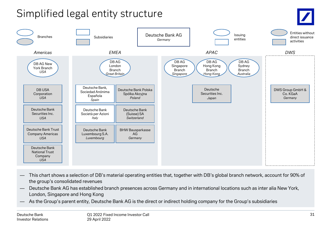## Simplified legal entity structure



- This chart shows a selection of DB's material operating entities that, together with DB's global branch network, account for 90% of the group's consolidated revenues
- Deutsche Bank AG has established branch presences across Germany and in international locations such as inter alia New York, London, Singapore and Hong Kong
- As the Group's parent entity, Deutsche Bank AG is the direct or indirect holding company for the Group's subsidiaries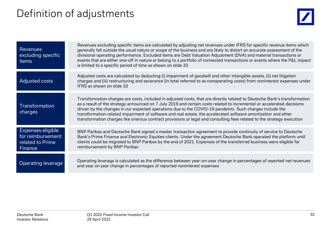## Definition of adjustments



| <b>Revenues</b><br>excluding specific<br>items                        | Revenues excluding specific items are calculated by adjusting net revenues under IFRS for specific revenue items which<br>generally fall outside the usual nature or scope of the business and are likely to distort an accurate assessment of the<br>divisional operating performance. Excluded items are Debt Valuation Adjustment (DVA) and material transactions or<br>events that are either one-off in nature or belong to a portfolio of connected transactions or events where the P&L impact<br>is limited to a specific period of time as shown on slide 33                                      |
|-----------------------------------------------------------------------|------------------------------------------------------------------------------------------------------------------------------------------------------------------------------------------------------------------------------------------------------------------------------------------------------------------------------------------------------------------------------------------------------------------------------------------------------------------------------------------------------------------------------------------------------------------------------------------------------------|
| Adjusted costs                                                        | Adjusted costs are calculated by deducting (i) impairment of goodwill and other intangible assets, (ii) net litigation<br>charges and (iii) restructuring and severance (in total referred to as nonoperating costs) from noninterest expenses under<br>IFRS as shown on slide 33                                                                                                                                                                                                                                                                                                                          |
| Transformation<br>charges                                             | Transformation charges are costs, included in adjusted costs, that are directly related to Deutsche Bank's transformation<br>as a result of the strategy announced on 7 July 2019 and certain costs related to incremental or accelerated decisions<br>driven by the changes in our expected operations due to the COVID-19 pandemic. Such charges include the<br>transformation-related impairment of software and real estate, the accelerated software amortization and other<br>transformation charges like onerous contract provisions or legal and consulting fees related to the strategy execution |
| Expenses eligible<br>for reimbursement<br>related to Prime<br>Finance | BNP Paribas and Deutsche Bank signed a master transaction agreement to provide continuity of service to Deutsche<br>Bank's Prime Finance and Electronic Equities clients. Under the agreement Deutsche Bank operated the platform until<br>clients could be migrated to BNP Paribas by the end of 2021. Expenses of the transferred business were eligible for<br>reimbursement by BNP Paribas                                                                                                                                                                                                             |
| Operating leverage                                                    | Operating leverage is calculated as the difference between year-on-year change in percentages of reported net revenues<br>and year on year change in percentages of reported noninterest expenses                                                                                                                                                                                                                                                                                                                                                                                                          |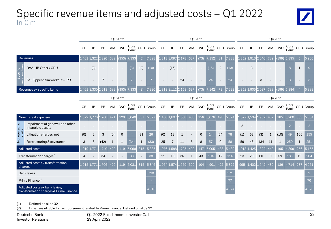## Specific revenue items and adjusted costs – Q1 2022 In € m



|                                                                          |                                                       | Q1 2022       |                |                   |     |              |                    |              | Q1 2021                          |           |       |                   |     |             |       |                          | Q4 2021                          |                |             |               |         |                |              |                |                                  |
|--------------------------------------------------------------------------|-------------------------------------------------------|---------------|----------------|-------------------|-----|--------------|--------------------|--------------|----------------------------------|-----------|-------|-------------------|-----|-------------|-------|--------------------------|----------------------------------|----------------|-------------|---------------|---------|----------------|--------------|----------------|----------------------------------|
|                                                                          |                                                       | CB            | IB             | PB                |     | AM C&O       |                    |              | Core CRU Group<br>Bank CRU Group | CB        | IB    | PB                |     | AM C&O      |       |                          | Core CRU Group<br>Bank CRU Group | CB             | IB          | PB            | AM      | <b>C&amp;O</b> | Core<br>Bank |                | CRU Group                        |
|                                                                          | Revenues                                              | 1,461         | 3.322          |                   | 682 | (353)        | 7,333              | (5)          | 7,328                            | 1,313     | 3,097 | 2.178             | 637 | (73)        | 7.152 | 81                       | 7,233                            | 1,352          | 1,913       | 2.040         | 789     | (199)          | 5,895        | 5 <sup>5</sup> | 5,900                            |
| Specific<br>$\overline{\bullet}$                                         | DVA - IB Other / CRU                                  |               | (8)            |                   |     |              | (8)                | (2)          | (10)                             |           | (15)  |                   |     |             | (15)  | 2                        | (13)                             |                | 8           |               |         |                | 8            | $\mathbf{1}$   | $\overline{9}$                   |
| E                                                                        | Sal. Oppenheim workout - IPB                          |               |                |                   |     |              |                    |              |                                  |           |       | 24                |     |             | 24    | $\overline{\phantom{a}}$ | 24                               |                |             | 3             |         |                | 3            |                | $\overline{3}$                   |
|                                                                          | Revenues ex specific items                            | 1,461         |                | 3,330 2,213       | 682 | (353)        | ,333               | (3)          | ',330                            | L.313     |       | 3.112 2.153       | 637 | (73)        | L42   | 79                       |                                  | L,352          | 1,905       | 12.037        | 789     | (199)          |              |                | 5,888                            |
|                                                                          |                                                       |               |                |                   |     | Q1 2022      |                    |              |                                  |           |       |                   |     | Q1 2021     |       |                          |                                  |                |             |               | Q4 2021 |                |              |                |                                  |
|                                                                          |                                                       | CB            | <b>IB</b>      | PB                |     | AM C&O       |                    |              | Core CRU Group<br>Bank CRU Group | CB        | IB    | PB                |     | AM C&O      |       |                          | Core CRU Group<br>Bank CRU Group | CB             | <b>IB</b>   | PB            |         | AM C&O         |              |                | Core CRU Group<br>Bank CRU Group |
|                                                                          | Noninterest expenses                                  | 1.022         | 1.776          | -700              | 421 | 120          | 5,040              | 337          | 5,377                            | $1.100\,$ | 1,607 | 1.808             | 405 | 156         | 5,076 | 498                      | 5,574                            | 1,077          | .534        | .952          | 452     | 185            | 5,200        | 363            | 5,564                            |
| Nonoperating                                                             | Impairment of goodwill and other<br>intangible assets |               |                |                   |     |              |                    |              |                                  |           |       |                   |     |             |       |                          |                                  | $\overline{2}$ |             |               |         |                | 2            |                | $\overline{2}$                   |
| costs                                                                    | Litigation charges, net                               | (0)           | $\overline{2}$ | 3                 | (0) | $\mathbf 0$  |                    | 21           | 26                               | (0)       | 12    | $\mathbf{1}$      |     | $\mathbf 0$ | 14    | 64                       | 78                               | (1)            | 63          | (3)           |         | (10)           | 49           | 106            | 155                              |
|                                                                          | Restructuring & severance                             | 3             | 3              | (42)              | 1   | $\mathbf{1}$ | (34)               | $\mathbf{1}$ | (33)                             | 25        | 7     | 11                | 6   | 8           | 57    | 0                        | 58                               | 59             | 46          | 134           | 11      | $\mathbf{1}$   | 250          | $\mathbf{1}$   | 251                              |
|                                                                          | Adjusted costs                                        | $1,019$ 1,771 |                | 11.740            | 420 | 119          | $\overline{5,069}$ | 315          | 5,385                            | L.076     | 1,588 | 1,795             | 400 | 147         | 5,005 | 433                      | 5,439                            |                | 1,018 1,425 | 1.822         | 440     | 195            | 4,899        | 256            | 5,155                            |
|                                                                          | Transformation charges <sup>(1)</sup>                 |               |                | 34                |     |              | 38                 |              | 38                               | 11        | 13    | 36                | 1   | 43          | 104   | 12                       | 116                              | 23             | 23          | 80            |         | 59             | 185          | 19             | 204                              |
| charges                                                                  | Adjusted costs ex transformation                      |               |                | 1,015 1,771 1,706 | 420 | 119          | 5,031              | 315          | 5,346                            |           |       | 1,064 1,574 1,759 | 399 | 104         | 4,901 | 422                      | 5,322                            | 995            |             | $1,402$ 1,742 | 439     | 136            | 4,714        | 237            | 4,951                            |
|                                                                          | <b>Bank levies</b>                                    |               |                |                   |     |              |                    |              | 730                              |           |       |                   |     |             |       |                          | 571                              |                |             |               |         |                |              |                | $\mathbf{3}$                     |
|                                                                          | Prime Finance <sup>(2)</sup>                          |               |                |                   |     |              |                    |              |                                  |           |       |                   |     |             |       |                          | 77                               |                |             |               |         |                |              |                | 70                               |
| Adjusted costs ex bank levies,<br>transformation charges & Prime Finance |                                                       |               |                |                   |     |              |                    |              | 4.616                            |           |       |                   |     |             |       |                          | 4.674                            |                |             |               |         |                |              |                | 4,878                            |

(1) Defined on slide 32

(2) Expenses eligible for reimbursement related to Prime Finance. Defined on slide 32

Deutsche Bank Investor Relations